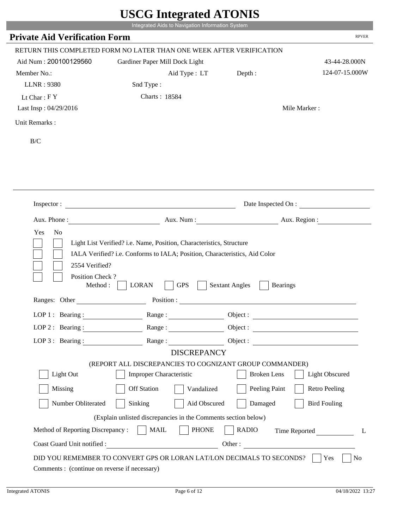|                                            | Integrated Aids to Navigation Information System                           |                                          |                       |
|--------------------------------------------|----------------------------------------------------------------------------|------------------------------------------|-----------------------|
| <b>Private Aid Verification Form</b>       |                                                                            |                                          | <b>RPVER</b>          |
|                                            | RETURN THIS COMPLETED FORM NO LATER THAN ONE WEEK AFTER VERIFICATION       |                                          |                       |
| Aid Num: 200100129560                      | Gardiner Paper Mill Dock Light                                             |                                          | 43-44-28.000N         |
| Member No.:                                | Aid Type : LT                                                              | Depth:                                   | 124-07-15.000W        |
| <b>LLNR: 9380</b>                          | Snd Type:                                                                  |                                          |                       |
| Lt Char: $FY$                              | Charts: 18584                                                              |                                          |                       |
| Last Insp: 04/29/2016                      |                                                                            |                                          | Mile Marker:          |
| Unit Remarks:                              |                                                                            |                                          |                       |
| $\rm B/C$                                  |                                                                            |                                          |                       |
|                                            |                                                                            |                                          |                       |
|                                            |                                                                            |                                          |                       |
|                                            |                                                                            |                                          |                       |
|                                            |                                                                            |                                          |                       |
| Inspector:                                 |                                                                            |                                          | Date Inspected On :   |
|                                            |                                                                            |                                          |                       |
|                                            |                                                                            |                                          |                       |
| Aux. Phone:                                | Aux. Num:                                                                  | Aux. Region :                            |                       |
| Yes<br>N <sub>o</sub>                      |                                                                            |                                          |                       |
|                                            | Light List Verified? i.e. Name, Position, Characteristics, Structure       |                                          |                       |
|                                            | IALA Verified? i.e. Conforms to IALA; Position, Characteristics, Aid Color |                                          |                       |
| 2554 Verified?                             |                                                                            |                                          |                       |
| Position Check?                            |                                                                            |                                          |                       |
| Method:                                    | <b>LORAN</b><br><b>GPS</b>                                                 | <b>Sextant Angles</b><br><b>Bearings</b> |                       |
| Ranges: Other                              | Position :                                                                 |                                          |                       |
| LOP 1 : Bearing :                          | Range:                                                                     | Object:                                  |                       |
|                                            | LOP 2: Bearing: Range: Range: Object:                                      |                                          |                       |
| $LOP$ 3 : Bearing :                        |                                                                            | Range: Object:                           |                       |
|                                            | <b>DISCREPANCY</b>                                                         |                                          |                       |
|                                            | (REPORT ALL DISCREPANCIES TO COGNIZANT GROUP COMMANDER)                    |                                          |                       |
| Light Out                                  | Improper Characteristic                                                    | <b>Broken</b> Lens                       | <b>Light Obscured</b> |
| Missing                                    | <b>Off Station</b><br>Vandalized                                           | Peeling Paint                            | <b>Retro Peeling</b>  |
| Number Obliterated                         | Sinking<br>Aid Obscured                                                    | Damaged                                  | <b>Bird Fouling</b>   |
|                                            | (Explain unlisted discrepancies in the Comments section below)             |                                          |                       |
| Method of Reporting Discrepancy :     MAIL | <b>PHONE</b>                                                               | <b>RADIO</b>                             | Time Reported<br>L    |

T.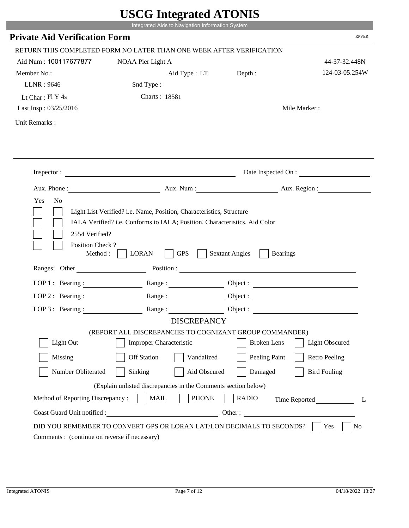|                                             | UDUU IIIIU ARUU ATUNID<br>Integrated Aids to Navigation Information System                |                                                                                                                                                                                                                                                                            |                       |
|---------------------------------------------|-------------------------------------------------------------------------------------------|----------------------------------------------------------------------------------------------------------------------------------------------------------------------------------------------------------------------------------------------------------------------------|-----------------------|
| <b>Private Aid Verification Form</b>        |                                                                                           |                                                                                                                                                                                                                                                                            | <b>RPVER</b>          |
|                                             |                                                                                           |                                                                                                                                                                                                                                                                            |                       |
|                                             | RETURN THIS COMPLETED FORM NO LATER THAN ONE WEEK AFTER VERIFICATION                      |                                                                                                                                                                                                                                                                            |                       |
| Aid Num: 100117677877                       | NOAA Pier Light A                                                                         |                                                                                                                                                                                                                                                                            | 44-37-32.448N         |
| Member No.:                                 | Aid Type : LT                                                                             | Depth:                                                                                                                                                                                                                                                                     | 124-03-05.254W        |
| LLNR: 9646                                  | Snd Type:                                                                                 |                                                                                                                                                                                                                                                                            |                       |
| Lt Char: Fl Y 4s                            | Charts: 18581                                                                             |                                                                                                                                                                                                                                                                            |                       |
| Last Insp: 03/25/2016                       |                                                                                           |                                                                                                                                                                                                                                                                            | Mile Marker:          |
| Unit Remarks:                               |                                                                                           |                                                                                                                                                                                                                                                                            |                       |
|                                             |                                                                                           |                                                                                                                                                                                                                                                                            |                       |
|                                             | Inspector:                                                                                |                                                                                                                                                                                                                                                                            | Date Inspected On :   |
| Aux. Phone :                                |                                                                                           | Aux. Num: Aux. Region:                                                                                                                                                                                                                                                     |                       |
| Yes<br>N <sub>o</sub>                       |                                                                                           |                                                                                                                                                                                                                                                                            |                       |
| Position Check?<br>Method:<br>Ranges: Other | <b>GPS</b><br><b>LORAN</b>                                                                | <b>Sextant Angles</b><br><b>Bearings</b><br>Position : The Contract of the Contract of the Contract of the Contract of the Contract of the Contract of the Contract of the Contract of the Contract of the Contract of the Contract of the Contract of the Contract of the |                       |
| LOP 1 : Bearing : $\qquad \qquad$           |                                                                                           |                                                                                                                                                                                                                                                                            | Object :              |
| $LOP$ 2 : Bearing :                         | Range:                                                                                    |                                                                                                                                                                                                                                                                            |                       |
|                                             |                                                                                           |                                                                                                                                                                                                                                                                            |                       |
| $LOP$ 3 : Bearing :                         | Range:                                                                                    |                                                                                                                                                                                                                                                                            |                       |
|                                             | <b>DISCREPANCY</b>                                                                        |                                                                                                                                                                                                                                                                            |                       |
| Light Out                                   | (REPORT ALL DISCREPANCIES TO COGNIZANT GROUP COMMANDER)<br><b>Improper Characteristic</b> | <b>Broken</b> Lens                                                                                                                                                                                                                                                         | <b>Light Obscured</b> |
| Missing                                     | <b>Off Station</b><br>Vandalized                                                          | Peeling Paint                                                                                                                                                                                                                                                              | <b>Retro Peeling</b>  |
|                                             |                                                                                           |                                                                                                                                                                                                                                                                            |                       |
| Number Obliterated                          | Sinking<br>Aid Obscured                                                                   | Damaged                                                                                                                                                                                                                                                                    | <b>Bird Fouling</b>   |
|                                             | (Explain unlisted discrepancies in the Comments section below)                            |                                                                                                                                                                                                                                                                            |                       |
| Method of Reporting Discrepancy:            | <b>PHONE</b><br><b>MAIL</b>                                                               | <b>RADIO</b>                                                                                                                                                                                                                                                               |                       |
| Coast Guard Unit notified :                 | <u> 1990 - Johann Barbara, martin d</u>                                                   | Other:                                                                                                                                                                                                                                                                     | Time Reported<br>L    |
|                                             | DID YOU REMEMBER TO CONVERT GPS OR LORAN LAT/LON DECIMALS TO SECONDS?                     |                                                                                                                                                                                                                                                                            | Yes<br>N <sub>0</sub> |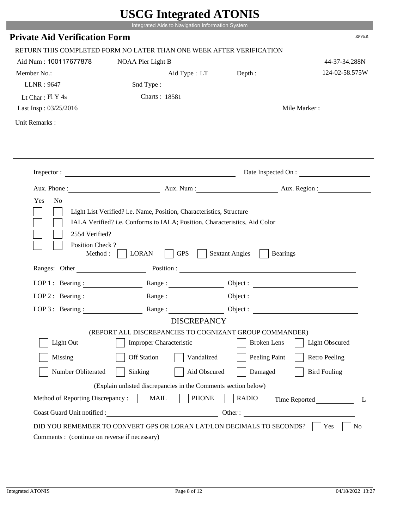|                                                                 | Integrated Aids to Navigation Information System                                                                                                   |                                                                                                                                                                                                                                                                            |                        |
|-----------------------------------------------------------------|----------------------------------------------------------------------------------------------------------------------------------------------------|----------------------------------------------------------------------------------------------------------------------------------------------------------------------------------------------------------------------------------------------------------------------------|------------------------|
| <b>Private Aid Verification Form</b>                            |                                                                                                                                                    |                                                                                                                                                                                                                                                                            | <b>RPVER</b>           |
|                                                                 | RETURN THIS COMPLETED FORM NO LATER THAN ONE WEEK AFTER VERIFICATION                                                                               |                                                                                                                                                                                                                                                                            |                        |
| Aid Num: 100117677878                                           | NOAA Pier Light B                                                                                                                                  |                                                                                                                                                                                                                                                                            | 44-37-34.288N          |
| Member No.:                                                     | Aid Type : LT                                                                                                                                      | Depth:                                                                                                                                                                                                                                                                     | 124-02-58.575W         |
| LLNR: 9647                                                      | Snd Type:                                                                                                                                          |                                                                                                                                                                                                                                                                            |                        |
| Lt Char: Fl Y 4s                                                | Charts: 18581                                                                                                                                      |                                                                                                                                                                                                                                                                            |                        |
| Last Insp: 03/25/2016                                           |                                                                                                                                                    |                                                                                                                                                                                                                                                                            | Mile Marker:           |
| Unit Remarks:                                                   |                                                                                                                                                    |                                                                                                                                                                                                                                                                            |                        |
|                                                                 |                                                                                                                                                    |                                                                                                                                                                                                                                                                            |                        |
|                                                                 | Inspector:                                                                                                                                         |                                                                                                                                                                                                                                                                            | Date Inspected On :    |
| Aux. Phone :                                                    |                                                                                                                                                    |                                                                                                                                                                                                                                                                            | Aux. Num: Aux. Region: |
| 2554 Verified?<br>Position Check?                               | Light List Verified? i.e. Name, Position, Characteristics, Structure<br>IALA Verified? i.e. Conforms to IALA; Position, Characteristics, Aid Color |                                                                                                                                                                                                                                                                            |                        |
| Method:<br>Ranges: Other                                        | <b>GPS</b><br><b>LORAN</b>                                                                                                                         | <b>Sextant Angles</b><br><b>Bearings</b><br>Position : The Contract of the Contract of the Contract of the Contract of the Contract of the Contract of the Contract of the Contract of the Contract of the Contract of the Contract of the Contract of the Contract of the |                        |
|                                                                 |                                                                                                                                                    |                                                                                                                                                                                                                                                                            |                        |
| LOP 1 : Bearing : $\qquad \qquad$<br>$LOP$ 2 : Bearing :        |                                                                                                                                                    |                                                                                                                                                                                                                                                                            | Object :               |
|                                                                 | Range:                                                                                                                                             |                                                                                                                                                                                                                                                                            |                        |
| $LOP$ 3 : Bearing :                                             | Range:<br><b>DISCREPANCY</b>                                                                                                                       |                                                                                                                                                                                                                                                                            |                        |
|                                                                 | (REPORT ALL DISCREPANCIES TO COGNIZANT GROUP COMMANDER)                                                                                            |                                                                                                                                                                                                                                                                            |                        |
| Light Out                                                       | <b>Improper Characteristic</b>                                                                                                                     | <b>Broken</b> Lens                                                                                                                                                                                                                                                         | <b>Light Obscured</b>  |
| Missing                                                         | <b>Off Station</b><br>Vandalized                                                                                                                   | Peeling Paint                                                                                                                                                                                                                                                              | <b>Retro Peeling</b>   |
| Number Obliterated                                              | Sinking<br>Aid Obscured                                                                                                                            | Damaged                                                                                                                                                                                                                                                                    | <b>Bird Fouling</b>    |
|                                                                 |                                                                                                                                                    |                                                                                                                                                                                                                                                                            |                        |
|                                                                 | (Explain unlisted discrepancies in the Comments section below)                                                                                     |                                                                                                                                                                                                                                                                            |                        |
| Method of Reporting Discrepancy:<br>Coast Guard Unit notified : | <b>PHONE</b><br><b>MAIL</b><br><u> 1990 - Johann Barbara, martin d</u>                                                                             | <b>RADIO</b><br>Other:                                                                                                                                                                                                                                                     | Time Reported<br>L     |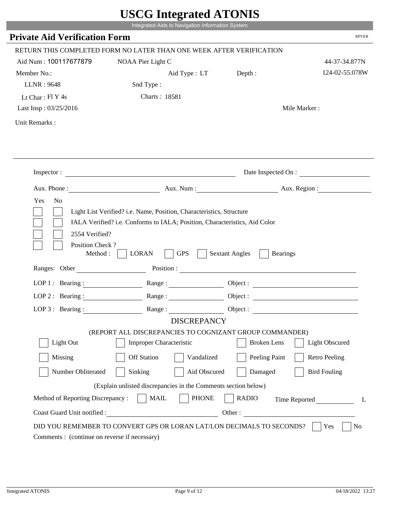|                                                                 | Integrated Aids to Navigation Information System                                                                                                   |                                                                                                                                                                                                                                                                            |                        |
|-----------------------------------------------------------------|----------------------------------------------------------------------------------------------------------------------------------------------------|----------------------------------------------------------------------------------------------------------------------------------------------------------------------------------------------------------------------------------------------------------------------------|------------------------|
| <b>Private Aid Verification Form</b>                            |                                                                                                                                                    |                                                                                                                                                                                                                                                                            | <b>RPVER</b>           |
|                                                                 | RETURN THIS COMPLETED FORM NO LATER THAN ONE WEEK AFTER VERIFICATION                                                                               |                                                                                                                                                                                                                                                                            |                        |
| Aid Num: 100117677879                                           | NOAA Pier Light C                                                                                                                                  |                                                                                                                                                                                                                                                                            | 44-37-34.877N          |
| Member No.:                                                     | Aid Type : LT                                                                                                                                      | Depth:                                                                                                                                                                                                                                                                     | 124-02-55.078W         |
| LLNR: 9648                                                      | Snd Type:                                                                                                                                          |                                                                                                                                                                                                                                                                            |                        |
| Lt Char: Fl Y 4s                                                | Charts: 18581                                                                                                                                      |                                                                                                                                                                                                                                                                            |                        |
| Last Insp: 03/25/2016                                           |                                                                                                                                                    |                                                                                                                                                                                                                                                                            | Mile Marker:           |
| Unit Remarks:                                                   |                                                                                                                                                    |                                                                                                                                                                                                                                                                            |                        |
|                                                                 |                                                                                                                                                    |                                                                                                                                                                                                                                                                            |                        |
|                                                                 | Inspector:                                                                                                                                         |                                                                                                                                                                                                                                                                            | Date Inspected On :    |
| Aux. Phone :                                                    |                                                                                                                                                    |                                                                                                                                                                                                                                                                            | Aux. Num: Aux. Region: |
| 2554 Verified?<br>Position Check?                               | Light List Verified? i.e. Name, Position, Characteristics, Structure<br>IALA Verified? i.e. Conforms to IALA; Position, Characteristics, Aid Color |                                                                                                                                                                                                                                                                            |                        |
| Method:<br>Ranges: Other                                        | <b>GPS</b><br><b>LORAN</b>                                                                                                                         | <b>Sextant Angles</b><br><b>Bearings</b><br>Position : The Contract of the Contract of the Contract of the Contract of the Contract of the Contract of the Contract of the Contract of the Contract of the Contract of the Contract of the Contract of the Contract of the |                        |
|                                                                 |                                                                                                                                                    |                                                                                                                                                                                                                                                                            |                        |
| LOP 1 : Bearing : $\qquad \qquad$                               |                                                                                                                                                    |                                                                                                                                                                                                                                                                            | Object :               |
| $LOP$ 2 : Bearing :                                             | Range :                                                                                                                                            |                                                                                                                                                                                                                                                                            |                        |
| $LOP$ 3 : Bearing :                                             | Range:<br><b>DISCREPANCY</b>                                                                                                                       |                                                                                                                                                                                                                                                                            |                        |
|                                                                 | (REPORT ALL DISCREPANCIES TO COGNIZANT GROUP COMMANDER)                                                                                            |                                                                                                                                                                                                                                                                            |                        |
| Light Out                                                       | <b>Improper Characteristic</b>                                                                                                                     | <b>Broken</b> Lens                                                                                                                                                                                                                                                         | <b>Light Obscured</b>  |
| Missing                                                         | <b>Off Station</b><br>Vandalized                                                                                                                   | Peeling Paint                                                                                                                                                                                                                                                              | <b>Retro Peeling</b>   |
| Number Obliterated                                              | Sinking<br>Aid Obscured                                                                                                                            | Damaged                                                                                                                                                                                                                                                                    | <b>Bird Fouling</b>    |
|                                                                 |                                                                                                                                                    |                                                                                                                                                                                                                                                                            |                        |
|                                                                 | (Explain unlisted discrepancies in the Comments section below)                                                                                     |                                                                                                                                                                                                                                                                            |                        |
| Method of Reporting Discrepancy:<br>Coast Guard Unit notified : | <b>PHONE</b><br><b>MAIL</b><br><u> 1990 - Johann Barbara, martin d</u>                                                                             | <b>RADIO</b><br>Other:                                                                                                                                                                                                                                                     | Time Reported<br>L     |